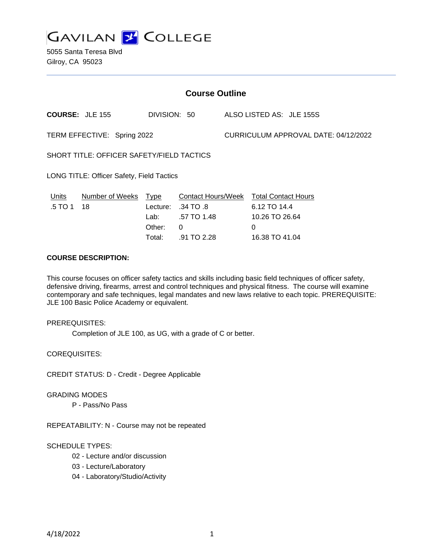

5055 Santa Teresa Blvd Gilroy, CA 95023

| <b>Course Outline</b>                     |                        |                                                  |                                                                      |                                      |                                                                                            |  |
|-------------------------------------------|------------------------|--------------------------------------------------|----------------------------------------------------------------------|--------------------------------------|--------------------------------------------------------------------------------------------|--|
|                                           | <b>COURSE: JLE 155</b> |                                                  | DIVISION: 50                                                         |                                      | ALSO LISTED AS: JLE 155S                                                                   |  |
| TERM EFFECTIVE: Spring 2022               |                        |                                                  |                                                                      | CURRICULUM APPROVAL DATE: 04/12/2022 |                                                                                            |  |
| SHORT TITLE: OFFICER SAFETY/FIELD TACTICS |                        |                                                  |                                                                      |                                      |                                                                                            |  |
| LONG TITLE: Officer Safety, Field Tactics |                        |                                                  |                                                                      |                                      |                                                                                            |  |
| Units<br>.5 TO 1                          | Number of Weeks<br>18  | Type<br>Lecture:<br>Lab: Lab<br>Other:<br>Total: | Contact Hours/Week<br>.34 TO .8<br>.57 TO 1.48<br>0<br>$.91$ TO 2.28 |                                      | <b>Total Contact Hours</b><br>6.12 TO 14.4<br>10.26 TO 26.64<br>$\Omega$<br>16.38 TO 41.04 |  |

# **COURSE DESCRIPTION:**

This course focuses on officer safety tactics and skills including basic field techniques of officer safety, defensive driving, firearms, arrest and control techniques and physical fitness. The course will examine contemporary and safe techniques, legal mandates and new laws relative to each topic. PREREQUISITE: JLE 100 Basic Police Academy or equivalent.

### PREREQUISITES:

Completion of JLE 100, as UG, with a grade of C or better.

COREQUISITES:

CREDIT STATUS: D - Credit - Degree Applicable

#### GRADING MODES

P - Pass/No Pass

REPEATABILITY: N - Course may not be repeated

#### SCHEDULE TYPES:

- 02 Lecture and/or discussion
- 03 Lecture/Laboratory
- 04 Laboratory/Studio/Activity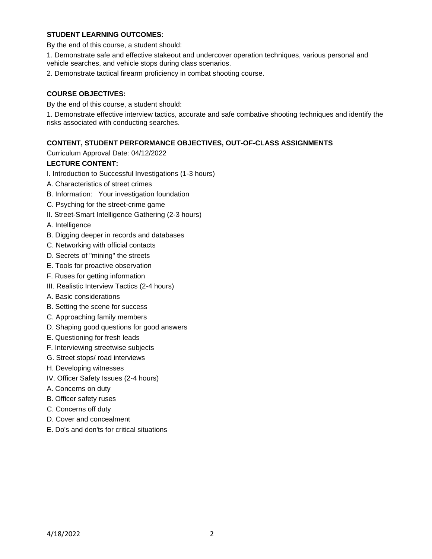# **STUDENT LEARNING OUTCOMES:**

By the end of this course, a student should:

1. Demonstrate safe and effective stakeout and undercover operation techniques, various personal and vehicle searches, and vehicle stops during class scenarios.

2. Demonstrate tactical firearm proficiency in combat shooting course.

# **COURSE OBJECTIVES:**

By the end of this course, a student should:

1. Demonstrate effective interview tactics, accurate and safe combative shooting techniques and identify the risks associated with conducting searches.

### **CONTENT, STUDENT PERFORMANCE OBJECTIVES, OUT-OF-CLASS ASSIGNMENTS**

Curriculum Approval Date: 04/12/2022

### **LECTURE CONTENT:**

- I. Introduction to Successful Investigations (1-3 hours)
- A. Characteristics of street crimes
- B. Information: Your investigation foundation
- C. Psyching for the street-crime game
- II. Street-Smart Intelligence Gathering (2-3 hours)

A. Intelligence

- B. Digging deeper in records and databases
- C. Networking with official contacts
- D. Secrets of "mining" the streets
- E. Tools for proactive observation
- F. Ruses for getting information
- III. Realistic Interview Tactics (2-4 hours)
- A. Basic considerations
- B. Setting the scene for success
- C. Approaching family members
- D. Shaping good questions for good answers
- E. Questioning for fresh leads
- F. Interviewing streetwise subjects
- G. Street stops/ road interviews
- H. Developing witnesses
- IV. Officer Safety Issues (2-4 hours)
- A. Concerns on duty
- B. Officer safety ruses
- C. Concerns off duty
- D. Cover and concealment
- E. Do's and don'ts for critical situations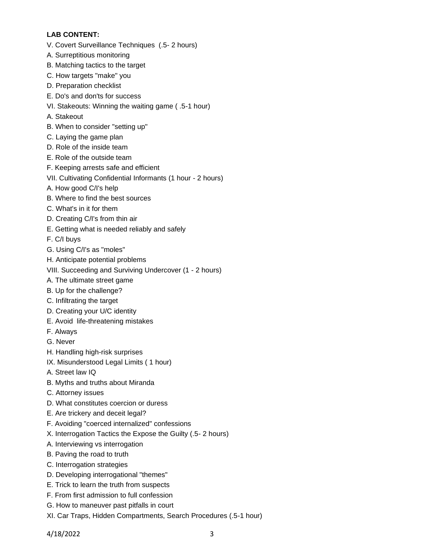# **LAB CONTENT:**

- V. Covert Surveillance Techniques (.5- 2 hours)
- A. Surreptitious monitoring
- B. Matching tactics to the target
- C. How targets "make" you
- D. Preparation checklist
- E. Do's and don'ts for success
- VI. Stakeouts: Winning the waiting game ( .5-1 hour)
- A. Stakeout
- B. When to consider "setting up"
- C. Laying the game plan
- D. Role of the inside team
- E. Role of the outside team
- F. Keeping arrests safe and efficient
- VII. Cultivating Confidential Informants (1 hour 2 hours)
- A. How good C/I's help
- B. Where to find the best sources
- C. What's in it for them
- D. Creating C/I's from thin air
- E. Getting what is needed reliably and safely
- F. C/I buys
- G. Using C/I's as "moles"
- H. Anticipate potential problems
- VIII. Succeeding and Surviving Undercover (1 2 hours)
- A. The ultimate street game
- B. Up for the challenge?
- C. Infiltrating the target
- D. Creating your U/C identity
- E. Avoid life-threatening mistakes
- F. Always
- G. Never
- H. Handling high-risk surprises
- IX. Misunderstood Legal Limits ( 1 hour)
- A. Street law IQ
- B. Myths and truths about Miranda
- C. Attorney issues
- D. What constitutes coercion or duress
- E. Are trickery and deceit legal?
- F. Avoiding "coerced internalized" confessions
- X. Interrogation Tactics the Expose the Guilty (.5- 2 hours)
- A. Interviewing vs interrogation
- B. Paving the road to truth
- C. Interrogation strategies
- D. Developing interrogational "themes"
- E. Trick to learn the truth from suspects
- F. From first admission to full confession
- G. How to maneuver past pitfalls in court
- XI. Car Traps, Hidden Compartments, Search Procedures (.5-1 hour)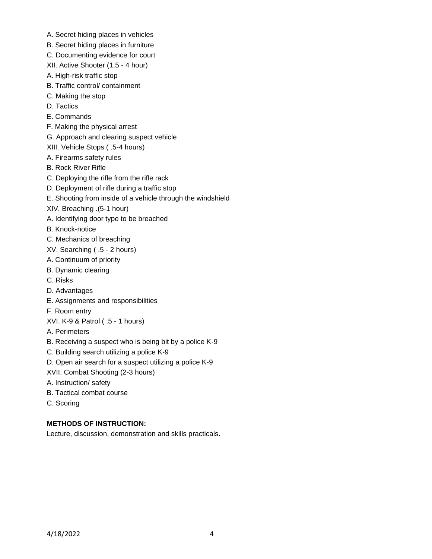- A. Secret hiding places in vehicles
- B. Secret hiding places in furniture
- C. Documenting evidence for court
- XII. Active Shooter (1.5 4 hour)
- A. High-risk traffic stop
- B. Traffic control/ containment
- C. Making the stop
- D. Tactics
- E. Commands
- F. Making the physical arrest
- G. Approach and clearing suspect vehicle
- XIII. Vehicle Stops ( .5-4 hours)
- A. Firearms safety rules
- B. Rock River Rifle
- C. Deploying the rifle from the rifle rack
- D. Deployment of rifle during a traffic stop
- E. Shooting from inside of a vehicle through the windshield
- XIV. Breaching .(5-1 hour)
- A. Identifying door type to be breached
- B. Knock-notice
- C. Mechanics of breaching
- XV. Searching ( .5 2 hours)
- A. Continuum of priority
- B. Dynamic clearing
- C. Risks
- D. Advantages
- E. Assignments and responsibilities
- F. Room entry
- XVI. K-9 & Patrol ( .5 1 hours)
- A. Perimeters
- B. Receiving a suspect who is being bit by a police K-9
- C. Building search utilizing a police K-9
- D. Open air search for a suspect utilizing a police K-9
- XVII. Combat Shooting (2-3 hours)
- A. Instruction/ safety
- B. Tactical combat course
- C. Scoring

# **METHODS OF INSTRUCTION:**

Lecture, discussion, demonstration and skills practicals.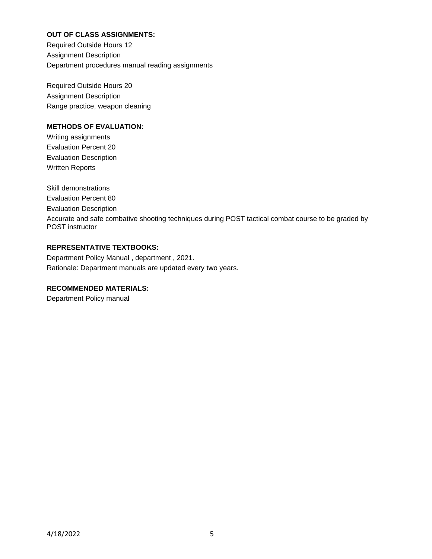# **OUT OF CLASS ASSIGNMENTS:**

Required Outside Hours 12 Assignment Description Department procedures manual reading assignments

Required Outside Hours 20 Assignment Description Range practice, weapon cleaning

# **METHODS OF EVALUATION:**

Writing assignments Evaluation Percent 20 Evaluation Description Written Reports

Skill demonstrations Evaluation Percent 80 Evaluation Description Accurate and safe combative shooting techniques during POST tactical combat course to be graded by POST instructor

# **REPRESENTATIVE TEXTBOOKS:**

Department Policy Manual , department , 2021. Rationale: Department manuals are updated every two years.

# **RECOMMENDED MATERIALS:**

Department Policy manual